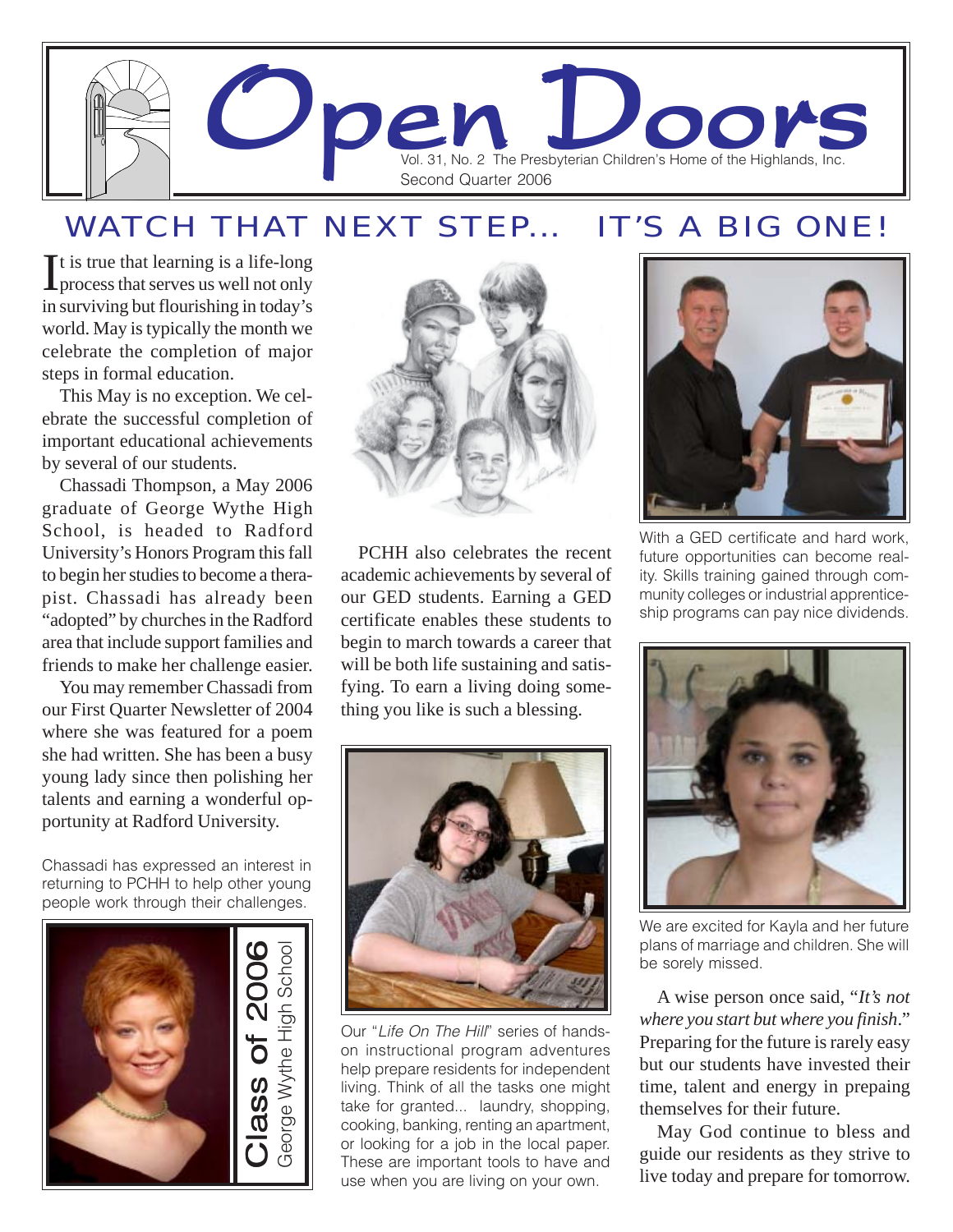

### WATCH THAT NEXT STEP... IT'S A BIG ONE!

It is true that learning is a life-long<br>process that serves us well not only process that serves us well not only in surviving but flourishing in today's world. May is typically the month we celebrate the completion of major steps in formal education.

This May is no exception. We celebrate the successful completion of important educational achievements by several of our students.

Chassadi Thompson, a May 2006 graduate of George Wythe High School, is headed to Radford University's Honors Program this fall to begin her studies to become a therapist. Chassadi has already been "adopted" by churches in the Radford area that include support families and friends to make her challenge easier.

You may remember Chassadi from our First Quarter Newsletter of 2004 where she was featured for a poem she had written. She has been a busy young lady since then polishing her talents and earning a wonderful opportunity at Radford University.

Chassadi has expressed an interest in returning to PCHH to help other young people work through their challenges.





PCHH also celebrates the recent academic achievements by several of our GED students. Earning a GED certificate enables these students to begin to march towards a career that will be both life sustaining and satisfying. To earn a living doing something you like is such a blessing.



Our "*Life On The Hill*" series of handson instructional program adventures help prepare residents for independent living. Think of all the tasks one might take for granted... laundry, shopping, cooking, banking, renting an apartment, or looking for a job in the local paper. These are important tools to have and use when you are living on your own.



With a GED certificate and hard work, future opportunities can become reality. Skills training gained through community colleges or industrial apprenticeship programs can pay nice dividends.



We are excited for Kayla and her future plans of marriage and children. She will be sorely missed.

A wise person once said, "*It's not where you start but where you finish*." Preparing for the future is rarely easy but our students have invested their time, talent and energy in prepaing themselves for their future.

May God continue to bless and guide our residents as they strive to live today and prepare for tomorrow.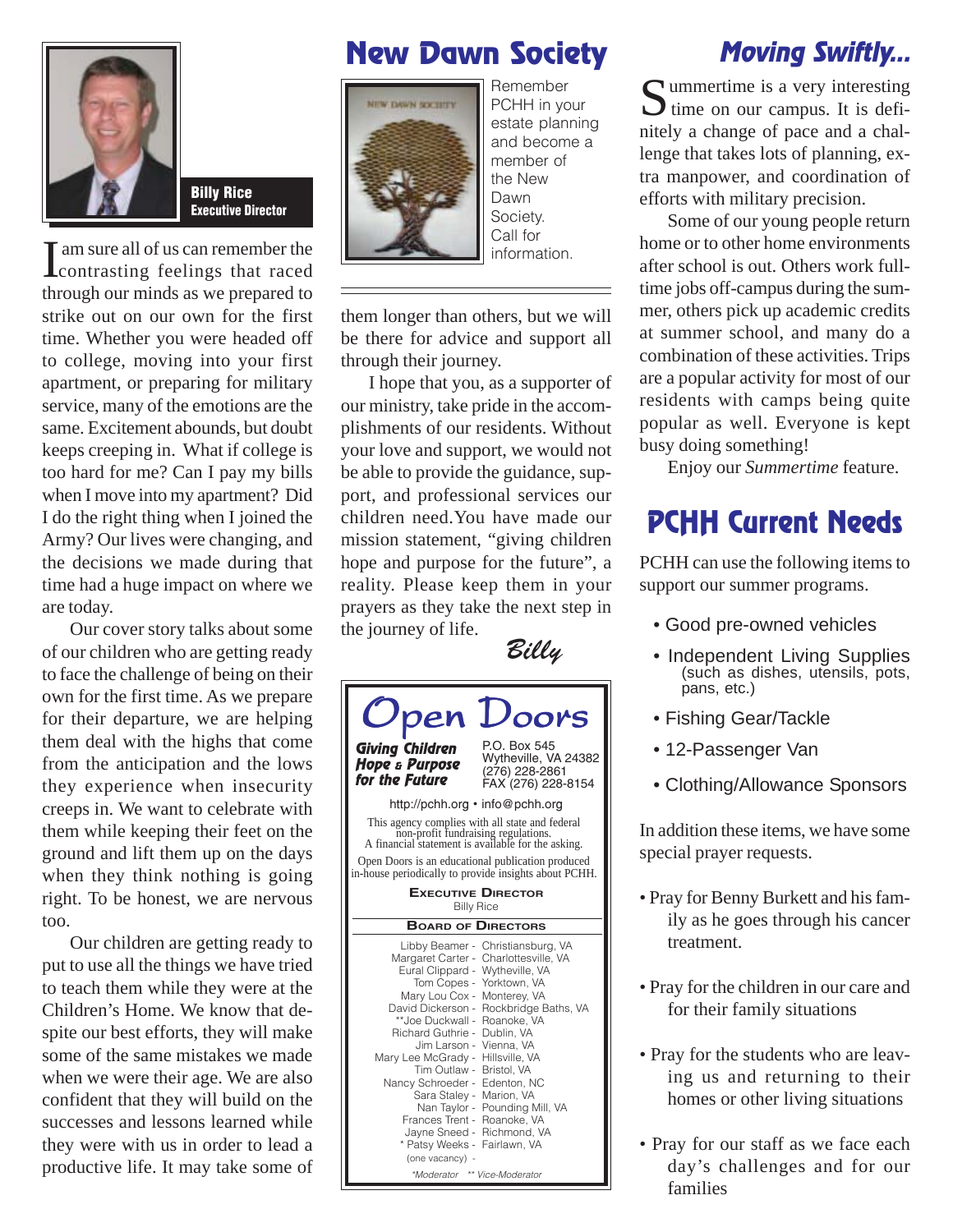

Billy Rice Executive Director

I am sure all of us can remember the<br>contrasting feelings that raced  $\blacksquare$  am sure all of us can remember the through our minds as we prepared to strike out on our own for the first time. Whether you were headed off to college, moving into your first apartment, or preparing for military service, many of the emotions are the same. Excitement abounds, but doubt keeps creeping in. What if college is too hard for me? Can I pay my bills when I move into my apartment? Did I do the right thing when I joined the Army? Our lives were changing, and the decisions we made during that time had a huge impact on where we are today.

Our cover story talks about some of our children who are getting ready to face the challenge of being on their own for the first time. As we prepare for their departure, we are helping them deal with the highs that come from the anticipation and the lows they experience when insecurity creeps in. We want to celebrate with them while keeping their feet on the ground and lift them up on the days when they think nothing is going right. To be honest, we are nervous too.

Our children are getting ready to put to use all the things we have tried to teach them while they were at the Children's Home. We know that despite our best efforts, they will make some of the same mistakes we made when we were their age. We are also confident that they will build on the successes and lessons learned while they were with us in order to lead a productive life. It may take some of

## New Dawn Society



Remember PCHH in your estate planning and become a member of the New Dawn Society. Call for information.

them longer than others, but we will be there for advice and support all through their journey.

I hope that you, as a supporter of our ministry, take pride in the accomplishments of our residents. Without your love and support, we would not be able to provide the guidance, support, and professional services our children need.You have made our mission statement, "giving children hope and purpose for the future", a reality. Please keep them in your prayers as they take the next step in the journey of life.



## Moving Swiftly...

Summertime is a very interesting<br>time on our campus. It is definitely a change of pace and a challenge that takes lots of planning, extra manpower, and coordination of efforts with military precision.

Some of our young people return home or to other home environments after school is out. Others work fulltime jobs off-campus during the summer, others pick up academic credits at summer school, and many do a combination of these activities. Trips are a popular activity for most of our residents with camps being quite popular as well. Everyone is kept busy doing something!

Enjoy our *Summertime* feature.

## PCHH Current Needs

PCHH can use the following items to support our summer programs.

- Good pre-owned vehicles
- Independent Living Supplies (such as dishes, utensils, pots, pans, etc.)
- Fishing Gear/Tackle
- 12-Passenger Van
- Clothing/Allowance Sponsors

In addition these items, we have some special prayer requests.

- Pray for Benny Burkett and his family as he goes through his cancer treatment.
- Pray for the children in our care and for their family situations
- Pray for the students who are leaving us and returning to their homes or other living situations
- Pray for our staff as we face each day's challenges and for our families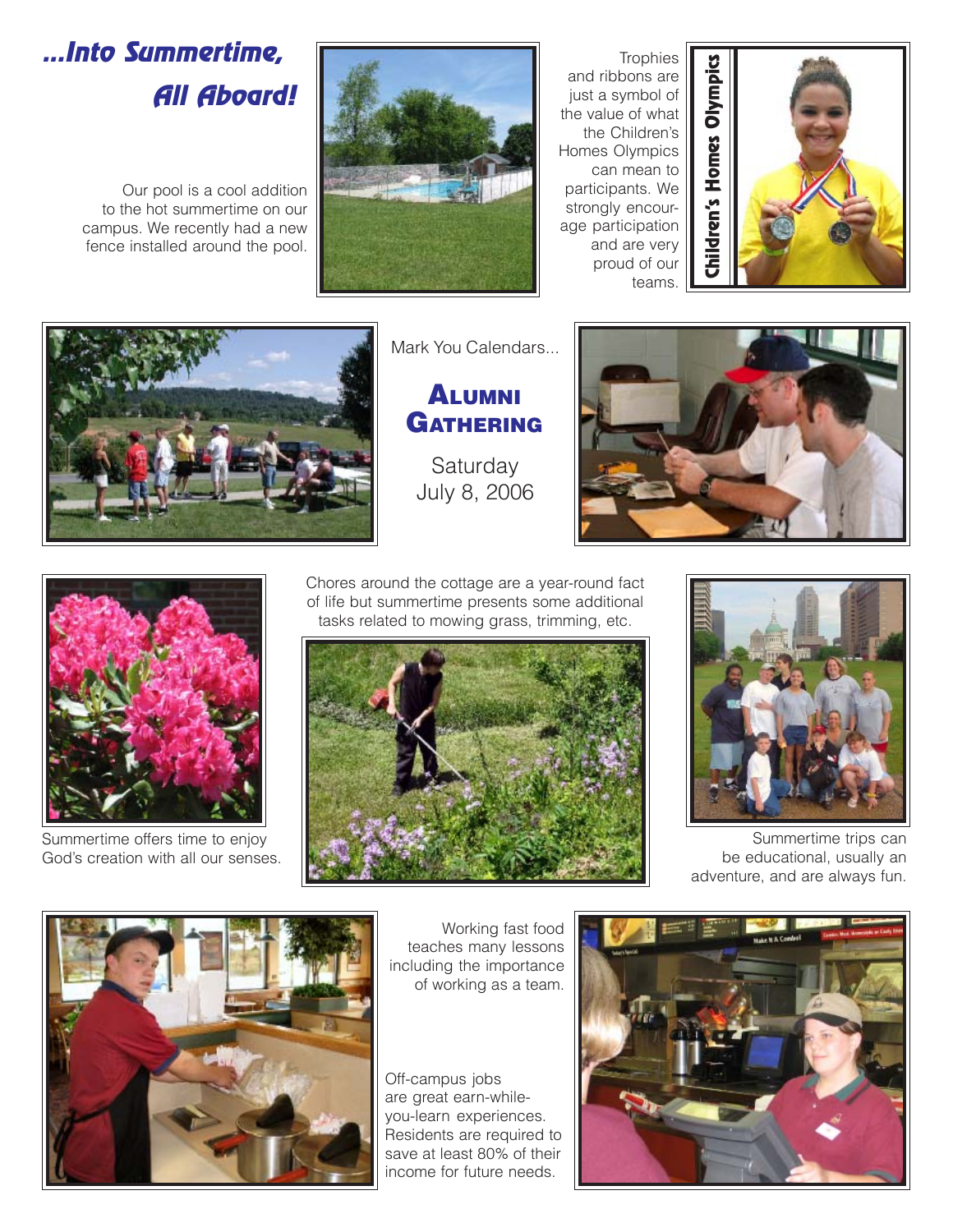# ...Into Summertime, All Aboard!

Our pool is a cool addition to the hot summertime on our campus. We recently had a new fence installed around the pool.



**Trophies** and ribbons are just a symbol of the value of what the Children's Homes Olympics can mean to participants. We strongly encourage participation and are very proud of our teams.





Mark You Calendars...

#### ALUMNI **GATHERING**

**Saturday** July 8, 2006





Summertime offers time to enjoy God's creation with all our senses.

Chores around the cottage are a year-round fact of life but summertime presents some additional tasks related to mowing grass, trimming, etc.





Summertime trips can be educational, usually an adventure, and are always fun.



Working fast food teaches many lessons including the importance of working as a team.

Off-campus jobs are great earn-whileyou-learn experiences. Residents are required to save at least 80% of their income for future needs.